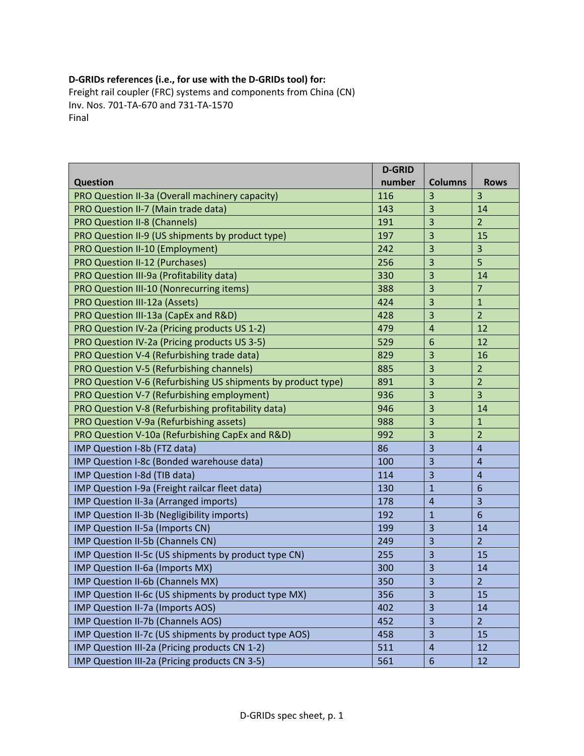## **D‐GRIDs references (i.e., for use with the D‐GRIDs tool) for:**

Freight rail coupler (FRC) systems and components from China (CN) Inv. Nos. 701‐TA‐670 and 731‐TA‐1570 Final

|                                                              | <b>D-GRID</b> |                         |                         |
|--------------------------------------------------------------|---------------|-------------------------|-------------------------|
| <b>Question</b>                                              | number        | <b>Columns</b>          | <b>Rows</b>             |
| PRO Question II-3a (Overall machinery capacity)              | 116           | 3                       | $\overline{\mathbf{3}}$ |
| PRO Question II-7 (Main trade data)                          | 143           | 3                       | 14                      |
| <b>PRO Question II-8 (Channels)</b>                          | 191           | 3                       | $\overline{2}$          |
| PRO Question II-9 (US shipments by product type)             | 197           | 3                       | 15                      |
| PRO Question II-10 (Employment)                              | 242           | 3                       | $\overline{3}$          |
| PRO Question II-12 (Purchases)                               | 256           | 3                       | 5                       |
| PRO Question III-9a (Profitability data)                     | 330           | 3                       | 14                      |
| PRO Question III-10 (Nonrecurring items)                     | 388           | 3                       | $\overline{7}$          |
| PRO Question III-12a (Assets)                                | 424           | 3                       | $\mathbf{1}$            |
| PRO Question III-13a (CapEx and R&D)                         | 428           | 3                       | $\overline{2}$          |
| PRO Question IV-2a (Pricing products US 1-2)                 | 479           | $\overline{4}$          | 12                      |
| PRO Question IV-2a (Pricing products US 3-5)                 | 529           | 6                       | 12                      |
| PRO Question V-4 (Refurbishing trade data)                   | 829           | 3                       | 16                      |
| PRO Question V-5 (Refurbishing channels)                     | 885           | 3                       | $\overline{2}$          |
| PRO Question V-6 (Refurbishing US shipments by product type) | 891           | 3                       | $\overline{2}$          |
| PRO Question V-7 (Refurbishing employment)                   | 936           | 3                       | $\overline{3}$          |
| PRO Question V-8 (Refurbishing profitability data)           | 946           | 3                       | 14                      |
| PRO Question V-9a (Refurbishing assets)                      | 988           | 3                       | $\mathbf 1$             |
| PRO Question V-10a (Refurbishing CapEx and R&D)              | 992           | 3                       | $\overline{2}$          |
| IMP Question I-8b (FTZ data)                                 | 86            | $\overline{\mathbf{3}}$ | $\overline{\mathbf{4}}$ |
| IMP Question I-8c (Bonded warehouse data)                    | 100           | 3                       | $\overline{4}$          |
| IMP Question I-8d (TIB data)                                 | 114           | 3                       | $\overline{4}$          |
| IMP Question I-9a (Freight railcar fleet data)               | 130           | $\mathbf{1}$            | $6\phantom{1}6$         |
| IMP Question II-3a (Arranged imports)                        | 178           | $\overline{a}$          | $\overline{\mathbf{3}}$ |
| IMP Question II-3b (Negligibility imports)                   | 192           | $\mathbf{1}$            | 6                       |
| IMP Question II-5a (Imports CN)                              | 199           | 3                       | 14                      |
| IMP Question II-5b (Channels CN)                             | 249           | 3                       | $\overline{2}$          |
| IMP Question II-5c (US shipments by product type CN)         | 255           | 3                       | 15                      |
| IMP Question II-6a (Imports MX)                              | 300           | 3                       | 14                      |
| IMP Question II-6b (Channels MX)                             | 350           | $\overline{\mathbf{3}}$ | $\overline{2}$          |
| IMP Question II-6c (US shipments by product type MX)         | 356           | 3                       | 15                      |
| IMP Question II-7a (Imports AOS)                             | 402           | 3                       | 14                      |
| <b>IMP Question II-7b (Channels AOS)</b>                     | 452           | 3                       | $\overline{2}$          |
| IMP Question II-7c (US shipments by product type AOS)        | 458           | 3                       | 15                      |
| IMP Question III-2a (Pricing products CN 1-2)                | 511           | $\overline{4}$          | 12                      |
| IMP Question III-2a (Pricing products CN 3-5)                | 561           | 6                       | 12                      |